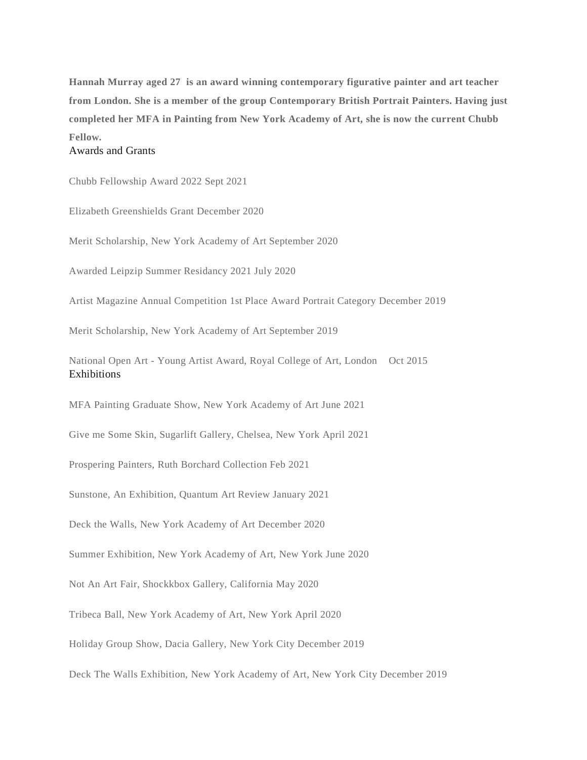**Hannah Murray aged 27 is an award winning contemporary figurative painter and art teacher from London. She is a member of the group Contemporary British Portrait Painters. Having just completed her MFA in Painting from New York Academy of Art, she is now the current Chubb Fellow.**

## Awards and Grants

Chubb Fellowship Award 2022 Sept 2021

Elizabeth Greenshields Grant December 2020

Merit Scholarship, New York Academy of Art September 2020

Awarded Leipzip Summer Residancy 2021 July 2020

Artist Magazine Annual Competition 1st Place Award Portrait Category December 2019

Merit Scholarship, New York Academy of Art September 2019

National Open Art - Young Artist Award, Royal College of Art, London Oct 2015 Exhibitions

MFA Painting Graduate Show, New York Academy of Art June 2021

Give me Some Skin, Sugarlift Gallery, Chelsea, New York April 2021

Prospering Painters, Ruth Borchard Collection Feb 2021

Sunstone, An Exhibition, Quantum Art Review January 2021

Deck the Walls, New York Academy of Art December 2020

Summer Exhibition, New York Academy of Art, New York June 2020

Not An Art Fair, Shockkbox Gallery, California May 2020

Tribeca Ball, New York Academy of Art, New York April 2020

Holiday Group Show, Dacia Gallery, New York City December 2019

Deck The Walls Exhibition, New York Academy of Art, New York City December 2019